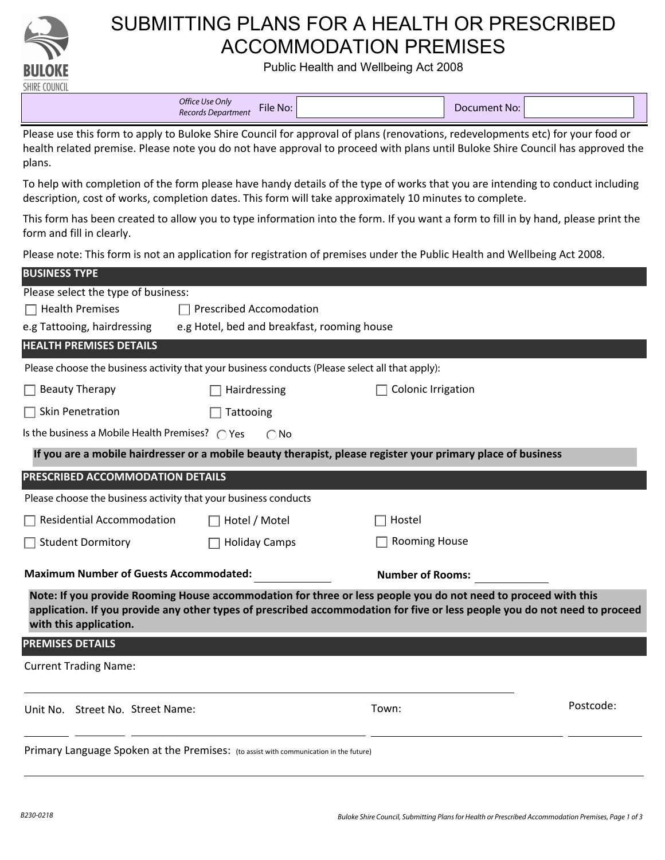

# SUBMITTING PLANS FOR A HEALTH OR PRESCRIBED ACCOMMODATION PREMISES

Public Health and Wellbeing Act 2008

| Office Use Only<br>File No:<br>Records Department | Document No: I |  |
|---------------------------------------------------|----------------|--|

Please use this form to apply to Buloke Shire Council for approval of plans (renovations, redevelopments etc) for your food or health related premise. Please note you do not have approval to proceed with plans until Buloke Shire Council has approved the plans.

To help with completion of the form please have handy details of the type of works that you are intending to conduct including description, cost of works, completion dates. This form will take approximately 10 minutes to complete.

This form has been created to allow you to type information into the form. If you want a form to fill in by hand, please print the form and fill in clearly.

Please note: This form is not an application for registration of premises under the Public Health and Wellbeing Act 2008.

| <b>BUSINESS TYPE</b>                                                                                         |                                |                                                                                                                                                                                                                                              |           |  |  |  |  |  |
|--------------------------------------------------------------------------------------------------------------|--------------------------------|----------------------------------------------------------------------------------------------------------------------------------------------------------------------------------------------------------------------------------------------|-----------|--|--|--|--|--|
| Please select the type of business:                                                                          |                                |                                                                                                                                                                                                                                              |           |  |  |  |  |  |
| <b>Health Premises</b>                                                                                       | <b>Prescribed Accomodation</b> |                                                                                                                                                                                                                                              |           |  |  |  |  |  |
| e.g Hotel, bed and breakfast, rooming house<br>e.g Tattooing, hairdressing                                   |                                |                                                                                                                                                                                                                                              |           |  |  |  |  |  |
| <b>HEALTH PREMISES DETAILS</b>                                                                               |                                |                                                                                                                                                                                                                                              |           |  |  |  |  |  |
| Please choose the business activity that your business conducts (Please select all that apply):              |                                |                                                                                                                                                                                                                                              |           |  |  |  |  |  |
| <b>Beauty Therapy</b>                                                                                        | Hairdressing                   | Colonic Irrigation                                                                                                                                                                                                                           |           |  |  |  |  |  |
| <b>Skin Penetration</b>                                                                                      | Tattooing                      |                                                                                                                                                                                                                                              |           |  |  |  |  |  |
| Is the business a Mobile Health Premises? $\bigcap$ Yes                                                      | $\bigcap$ No                   |                                                                                                                                                                                                                                              |           |  |  |  |  |  |
| If you are a mobile hairdresser or a mobile beauty therapist, please register your primary place of business |                                |                                                                                                                                                                                                                                              |           |  |  |  |  |  |
| PRESCRIBED ACCOMMODATION DETAILS                                                                             |                                |                                                                                                                                                                                                                                              |           |  |  |  |  |  |
| Please choose the business activity that your business conducts                                              |                                |                                                                                                                                                                                                                                              |           |  |  |  |  |  |
| <b>Residential Accommodation</b>                                                                             | Hotel / Motel                  | Hostel                                                                                                                                                                                                                                       |           |  |  |  |  |  |
| <b>Student Dormitory</b>                                                                                     | <b>Holiday Camps</b>           | <b>Rooming House</b>                                                                                                                                                                                                                         |           |  |  |  |  |  |
| <b>Maximum Number of Guests Accommodated:</b>                                                                |                                | <b>Number of Rooms:</b>                                                                                                                                                                                                                      |           |  |  |  |  |  |
| with this application.                                                                                       |                                | Note: If you provide Rooming House accommodation for three or less people you do not need to proceed with this<br>application. If you provide any other types of prescribed accommodation for five or less people you do not need to proceed |           |  |  |  |  |  |
| <b>PREMISES DETAILS</b>                                                                                      |                                |                                                                                                                                                                                                                                              |           |  |  |  |  |  |
| <b>Current Trading Name:</b>                                                                                 |                                |                                                                                                                                                                                                                                              |           |  |  |  |  |  |
| Unit No. Street No. Street Name:                                                                             |                                | Town:                                                                                                                                                                                                                                        | Postcode: |  |  |  |  |  |
| Primary Language Spoken at the Premises: (to assist with communication in the future)                        |                                |                                                                                                                                                                                                                                              |           |  |  |  |  |  |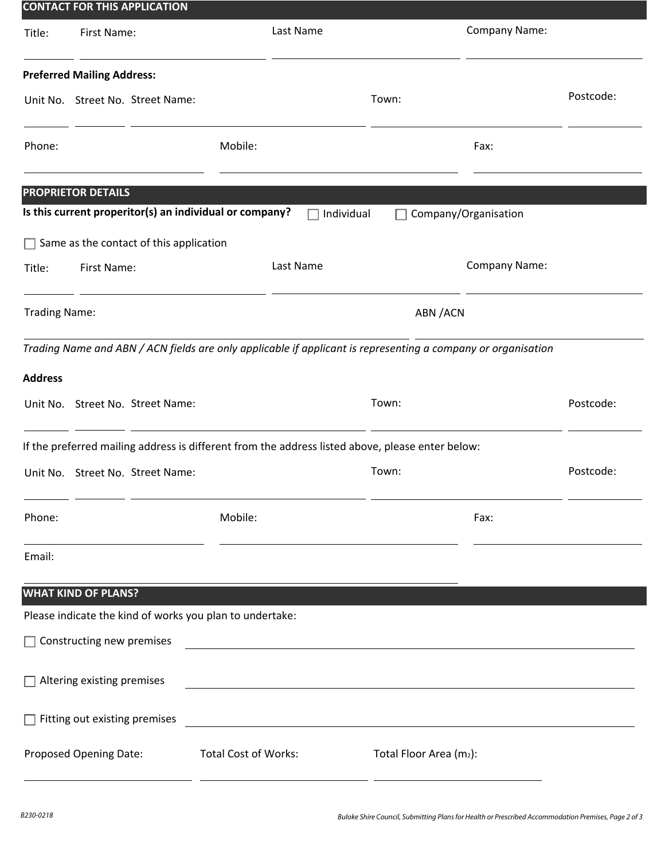|                      | <b>CONTACT FOR THIS APPLICATION</b>                      |                                                                                                              |                                                                                                                  |                      |           |  |
|----------------------|----------------------------------------------------------|--------------------------------------------------------------------------------------------------------------|------------------------------------------------------------------------------------------------------------------|----------------------|-----------|--|
| Title:               | First Name:                                              | Last Name                                                                                                    |                                                                                                                  | <b>Company Name:</b> |           |  |
|                      | <b>Preferred Mailing Address:</b>                        |                                                                                                              |                                                                                                                  |                      |           |  |
|                      | Unit No. Street No. Street Name:                         |                                                                                                              | Town:                                                                                                            |                      | Postcode: |  |
| Phone:               |                                                          | Mobile:                                                                                                      |                                                                                                                  | Fax:                 |           |  |
|                      | <b>PROPRIETOR DETAILS</b>                                |                                                                                                              |                                                                                                                  |                      |           |  |
|                      | Is this current properitor(s) an individual or company?  |                                                                                                              | Individual                                                                                                       | Company/Organisation |           |  |
|                      | Same as the contact of this application                  |                                                                                                              |                                                                                                                  |                      |           |  |
| Title:               | First Name:                                              | Last Name                                                                                                    |                                                                                                                  | <b>Company Name:</b> |           |  |
| <b>Trading Name:</b> |                                                          | ABN / ACN                                                                                                    |                                                                                                                  |                      |           |  |
|                      |                                                          | Trading Name and ABN / ACN fields are only applicable if applicant is representing a company or organisation |                                                                                                                  |                      |           |  |
| <b>Address</b>       |                                                          |                                                                                                              |                                                                                                                  |                      |           |  |
|                      | Unit No. Street No. Street Name:                         |                                                                                                              | Town:                                                                                                            |                      | Postcode: |  |
|                      |                                                          | If the preferred mailing address is different from the address listed above, please enter below:             |                                                                                                                  |                      |           |  |
|                      | Unit No. Street No. Street Name:                         |                                                                                                              | Town:                                                                                                            |                      | Postcode: |  |
| Phone:               |                                                          | Mobile:                                                                                                      |                                                                                                                  | Fax:                 |           |  |
| Email:               |                                                          |                                                                                                              |                                                                                                                  |                      |           |  |
|                      | <b>WHAT KIND OF PLANS?</b>                               |                                                                                                              |                                                                                                                  |                      |           |  |
|                      | Please indicate the kind of works you plan to undertake: |                                                                                                              |                                                                                                                  |                      |           |  |
|                      | $\Box$ Constructing new premises                         |                                                                                                              |                                                                                                                  |                      |           |  |
|                      | Altering existing premises                               |                                                                                                              | and the control of the control of the control of the control of the control of the control of the control of the |                      |           |  |
|                      | Fitting out existing premises                            |                                                                                                              |                                                                                                                  |                      |           |  |
|                      | Proposed Opening Date:                                   | <b>Total Cost of Works:</b>                                                                                  | Total Floor Area (m2):                                                                                           |                      |           |  |
|                      |                                                          |                                                                                                              |                                                                                                                  |                      |           |  |